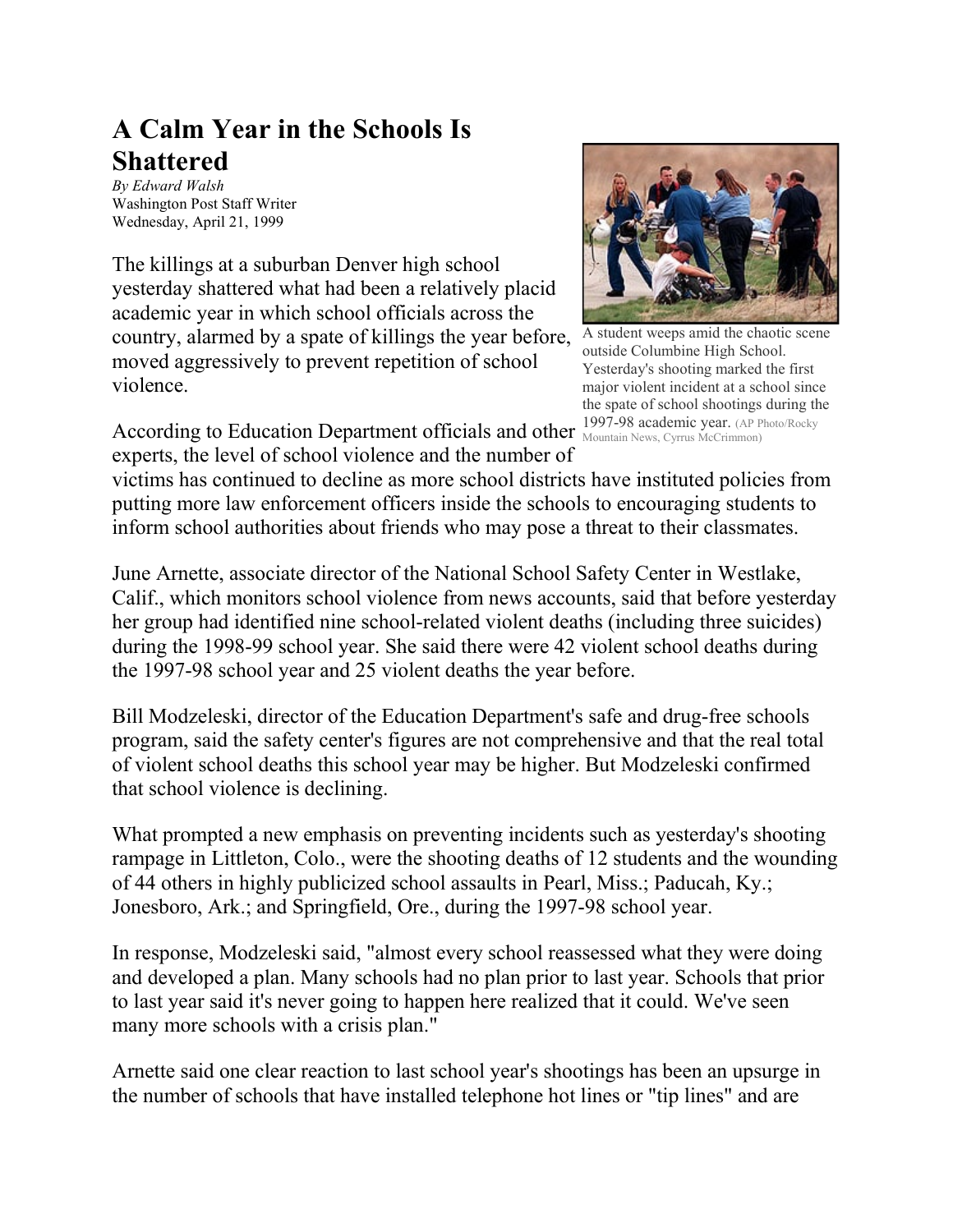## **A Calm Year in the Schools Is Shattered**

*By Edward Walsh* Washington Post Staff Writer Wednesday, April 21, 1999

The killings at a suburban Denver high school yesterday shattered what had been a relatively placid academic year in which school officials across the country, alarmed by a spate of killings the year before, moved aggressively to prevent repetition of school violence.



A student weeps amid the chaotic scene outside Columbine High School. Yesterday's shooting marked the first major violent incident at a school since the spate of school shootings during the Mountain News, Cyrrus McCrimmon)

According to Education Department officials and other  $^{1997-98}_{\text{ Mountain News, Cyrrus McCrimmon}}$ experts, the level of school violence and the number of

victims has continued to decline as more school districts have instituted policies from putting more law enforcement officers inside the schools to encouraging students to inform school authorities about friends who may pose a threat to their classmates.

June Arnette, associate director of the National School Safety Center in Westlake, Calif., which monitors school violence from news accounts, said that before yesterday her group had identified nine school-related violent deaths (including three suicides) during the 1998-99 school year. She said there were 42 violent school deaths during the 1997-98 school year and 25 violent deaths the year before.

Bill Modzeleski, director of the Education Department's safe and drug-free schools program, said the safety center's figures are not comprehensive and that the real total of violent school deaths this school year may be higher. But Modzeleski confirmed that school violence is declining.

What prompted a new emphasis on preventing incidents such as yesterday's shooting rampage in Littleton, Colo., were the shooting deaths of 12 students and the wounding of 44 others in highly publicized school assaults in Pearl, Miss.; Paducah, Ky.; Jonesboro, Ark.; and Springfield, Ore., during the 1997-98 school year.

In response, Modzeleski said, "almost every school reassessed what they were doing and developed a plan. Many schools had no plan prior to last year. Schools that prior to last year said it's never going to happen here realized that it could. We've seen many more schools with a crisis plan."

Arnette said one clear reaction to last school year's shootings has been an upsurge in the number of schools that have installed telephone hot lines or "tip lines" and are